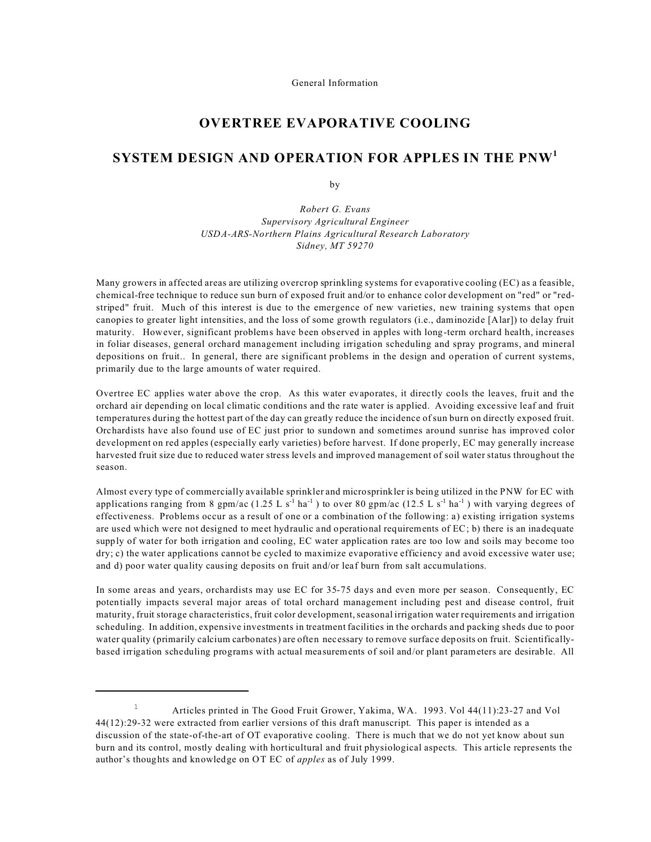General Information

# **OVERTREE EVAPORATIVE COOLING**

# **SYSTEM DESIGN AND OPERATION FOR APPLES IN THE PNW<sup>1</sup>**

by

*Robert G. Evans Supervisory Agricultural Engineer USDA-ARS-Northern Plains Agricultural Research Laboratory Sidney, MT 59270*

Many growers in affected areas are utilizing overcrop sprinkling systems for evaporative cooling (EC) as a feasible, chemical-free technique to reduce sun burn of exposed fruit and/or to enhance color development on "red" or "redstriped" fruit. Much of this interest is due to the emergence of new varieties, new training systems that open canopies to greater light intensities, and the loss of some growth regulators (i.e., daminozide [Alar]) to delay fruit maturity. However, significant problems have been observed in apples with long-term orchard health, increases in foliar diseases, general orchard management including irrigation scheduling and spray programs, and mineral depositions on fruit.. In general, there are significant problems in the design and operation of current systems, primarily due to the large amounts of water required.

Overtree EC applies water above the crop. As this water evaporates, it directly cools the leaves, fruit and the orchard air depending on local climatic conditions and the rate water is applied. Avoiding excessive leaf and fruit temperatures during the hottest part of the day can greatly reduce the incidence of sun burn on directly exposed fruit. Orchardists have also found use of EC just prior to sundown and sometimes around sunrise has improved color development on red apples (especially early varieties) before harvest. If done properly, EC may generally increase harvested fruit size due to reduced water stress levels and improved management of soil water status throughout the season.

Almost every type of commercially available sprinkler and microsprinkler is being utilized in the PNW for EC with applications ranging from 8 gpm/ac (1.25 L s<sup>-1</sup> ha<sup>-1</sup>) to over 80 gpm/ac (12.5 L s<sup>-1</sup> ha<sup>-1</sup>) with varying degrees of effectiveness. Problems occur as a result of one or a combination of the following: a) existing irrigation systems are used which were not designed to meet hydraulic and operational requirements of EC; b) there is an inadequate supply of water for both irrigation and cooling, EC water application rates are too low and soils may become too dry; c) the water applications cannot be cycled to maximize evaporative efficiency and avoid excessive water use; and d) poor water quality causing deposits on fruit and/or leaf burn from salt accumulations.

In some areas and years, orchardists may use EC for 35-75 days and even more per season. Consequently, EC potentially impacts several major areas of total orchard management including pest and disease control, fruit maturity, fruit storage characteristics, fruit color development, seasonal irrigation water requirements and irrigation scheduling. In addition, expensive investments in treatment facilities in the orchards and packing sheds due to poor water quality (primarily calcium carbonates) are often necessary to remove surface deposits on fruit. Scientificallybased irrigation scheduling programs with actual measurements of soil and/or plant parameters are desirable. All

<sup>&</sup>lt;sup>1</sup> Articles printed in The Good Fruit Grower, Yakima, WA. 1993. Vol 44(11):23-27 and Vol 44(12):29-32 were extracted from earlier versions of this draft manuscript. This paper is intended as a discussion of the state-of-the-art of OT evaporative cooling. There is much that we do not yet know about sun burn and its control, mostly dealing with horticultural and fruit physiological aspects. This article represents the author's thoughts and knowledge on OT EC of *apples* as of July 1999.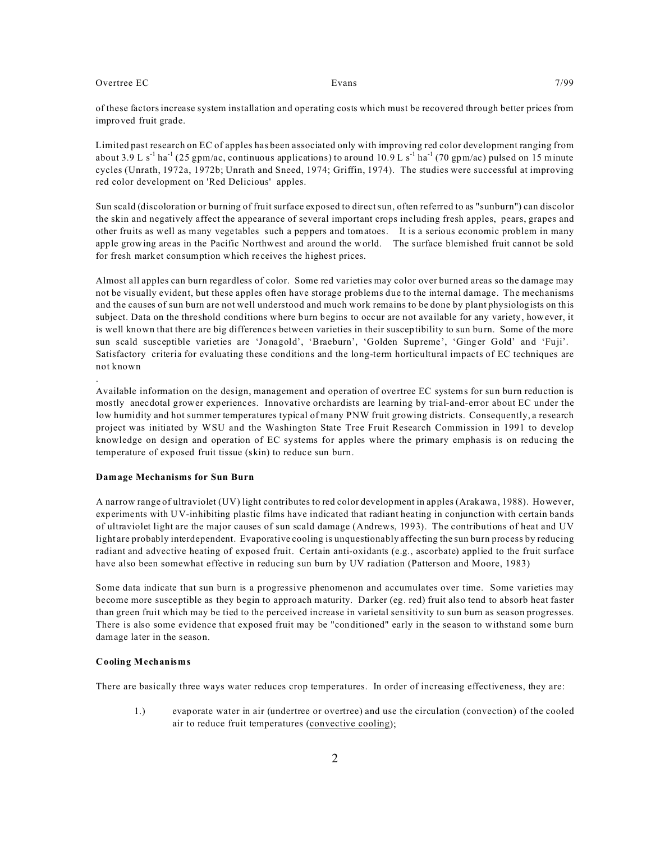.

of these factors increase system installation and operating costs which must be recovered through better prices from improved fruit grade.

Limited past research on EC of apples has been associated only with improving red color development ranging from about 3.9 L s<sup>-1</sup> ha<sup>-1</sup> (25 gpm/ac, continuous applications) to around 10.9 L s<sup>-1</sup> ha<sup>-1</sup> (70 gpm/ac) pulsed on 15 minute cycles (Unrath, 1972a, 1972b; Unrath and Sneed, 1974; Griffin, 1974). The studies were successful at improving red color development on 'Red Delicious' apples.

Sun scald (discoloration or burning of fruit surface exposed to direct sun, often referred to as "sunburn") can discolor the skin and negatively affect the appearance of several important crops including fresh apples, pears, grapes and other fruits as well as many vegetables such a peppers and tomatoes. It is a serious economic problem in many apple growing areas in the Pacific Northwest and around the world. The surface blemished fruit cannot be sold for fresh market consumption which receives the highest prices.

Almost all apples can burn regardless of color. Some red varieties may color over burned areas so the damage may not be visually evident, but these apples often have storage problems due to the internal damage. The mechanisms and the causes of sun burn are not well understood and much work remains to be done by plant physiologists on this subject. Data on the threshold conditions where burn begins to occur are not available for any variety, however, it is well known that there are big differences between varieties in their susceptibility to sun burn. Some of the more sun scald susceptible varieties are 'Jonagold', 'Braeburn', 'Golden Supreme', 'Ginger Gold' and 'Fuji'. Satisfactory criteria for evaluating these conditions and the long-term horticultural impacts of EC techniques are not known

Available information on the design, management and operation of overtree EC systems for sun burn reduction is mostly anecdotal grower experiences. Innovative orchardists are learning by trial-and-error about EC under the low humidity and hot summer temperatures typical of many PNW fruit growing districts. Consequently, a research project was initiated by WSU and the Washington State Tree Fruit Research Commission in 1991 to develop knowledge on design and operation of EC systems for apples where the primary emphasis is on reducing the temperature of exposed fruit tissue (skin) to reduce sun burn.

#### **Damage Mechanisms for Sun Burn**

A narrow range of ultraviolet (UV) light contributes to red color development in apples (Arakawa, 1988). However, experiments with UV-inhibiting plastic films have indicated that radiant heating in conjunction with certain bands of ultraviolet light are the major causes of sun scald damage (Andrews, 1993). The contributions of heat and UV light are probably interdependent. Evaporative cooling is unquestionably affecting the sun burn process by reducing radiant and advective heating of exposed fruit. Certain anti-oxidants (e.g., ascorbate) applied to the fruit surface have also been somewhat effective in reducing sun burn by UV radiation (Patterson and Moore, 1983)

Some data indicate that sun burn is a progressive phenomenon and accumulates over time. Some varieties may become more susceptible as they begin to approach maturity. Darker (eg. red) fruit also tend to absorb heat faster than green fruit which may be tied to the perceived increase in varietal sensitivity to sun burn as season progresses. There is also some evidence that exposed fruit may be "conditioned" early in the season to withstand some burn damage later in the season.

#### **Cooling Mechanisms**

There are basically three ways water reduces crop temperatures. In order of increasing effectiveness, they are:

1.) evaporate water in air (undertree or overtree) and use the circulation (convection) of the cooled air to reduce fruit temperatures (convective cooling);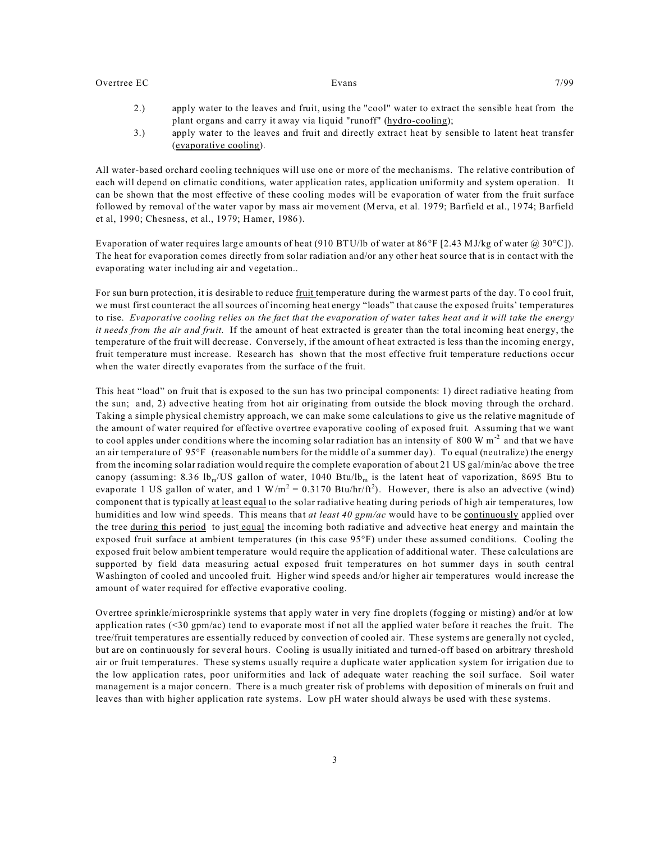- 2.) apply water to the leaves and fruit, using the "cool" water to extract the sensible heat from the plant organs and carry it away via liquid "runoff" (hydro-cooling);
- 3.) apply water to the leaves and fruit and directly extract heat by sensible to latent heat transfer (evaporative cooling).

All water-based orchard cooling techniques will use one or more of the mechanisms. The relative contribution of each will depend on climatic conditions, water application rates, application uniformity and system operation. It can be shown that the most effective of these cooling modes will be evaporation of water from the fruit surface followed by removal of the water vapor by mass air movement (Merva, et al. 1979; Barfield et al., 1974; Barfield et al, 1990; Chesness, et al., 1979; Hamer, 1986).

Evaporation of water requires large amounts of heat (910 BTU/lb of water at 86°F [2.43 MJ/kg of water @ 30°C]). The heat for evaporation comes directly from solar radiation and/or any other heat source that is in contact with the evaporating water including air and vegetation..

For sun burn protection, it is desirable to reduce fruit temperature during the warmest parts of the day. To cool fruit, we must first counteract the all sources of incoming heat energy "loads" that cause the exposed fruits' temperatures to rise. *Evaporative cooling relies on the fact that the evaporation of water takes heat and it will take the energy it needs from the air and fruit.* If the amount of heat extracted is greater than the total incoming heat energy, the temperature of the fruit will decrease. Conversely, if the amount of heat extracted is less than the incoming energy, fruit temperature must increase. Research has shown that the most effective fruit temperature reductions occur when the water directly evaporates from the surface of the fruit.

This heat "load" on fruit that is exposed to the sun has two principal components: 1) direct radiative heating from the sun; and, 2) advective heating from hot air originating from outside the block moving through the orchard. Taking a simple physical chemistry approach, we can make some calculations to give us the relative magnitude of the amount of water required for effective overtree evaporative cooling of exposed fruit. Assuming that we want to cool apples under conditions where the incoming solar radiation has an intensity of 800 W  $m<sup>2</sup>$  and that we have an air temperature of 95°F (reasonable numbers for the middle of a summer day). To equal (neutralize) the energy from the incoming solar radiation would require the complete evaporation of about 21 US gal/min/ac above the tree canopy (assuming: 8.36 lb<sub>m</sub>/US gallon of water, 1040 Btu/lb<sub>m</sub> is the latent heat of vaporization, 8695 Btu to evaporate 1 US gallon of water, and 1 W/m<sup>2</sup> = 0.3170 Btu/hr/ft<sup>2</sup>). However, there is also an advective (wind) component that is typically at least equal to the solar radiative heating during periods of high air temperatures, low humidities and low wind speeds. This means that *at least 40 gpm/ac* would have to be continuously applied over the tree during this period to just equal the incoming both radiative and advective heat energy and maintain the exposed fruit surface at ambient temperatures (in this case 95°F) under these assumed conditions. Cooling the exposed fruit below ambient temperature would require the application of additional water. These calculations are supported by field data measuring actual exposed fruit temperatures on hot summer days in south central Washington of cooled and uncooled fruit. Higher wind speeds and/or higher air temperatures would increase the amount of water required for effective evaporative cooling.

Overtree sprinkle/microsprinkle systems that apply water in very fine droplets (fogging or misting) and/or at low application rates (<30 gpm/ac) tend to evaporate most if not all the applied water before it reaches the fruit. The tree/fruit temperatures are essentially reduced by convection of cooled air. These systems are generally not cycled, but are on continuously for several hours. Cooling is usually initiated and turned-off based on arbitrary threshold air or fruit temperatures. These systems usually require a duplicate water application system for irrigation due to the low application rates, poor uniformities and lack of adequate water reaching the soil surface. Soil water management is a major concern. There is a much greater risk of problems with deposition of minerals on fruit and leaves than with higher application rate systems. Low pH water should always be used with these systems.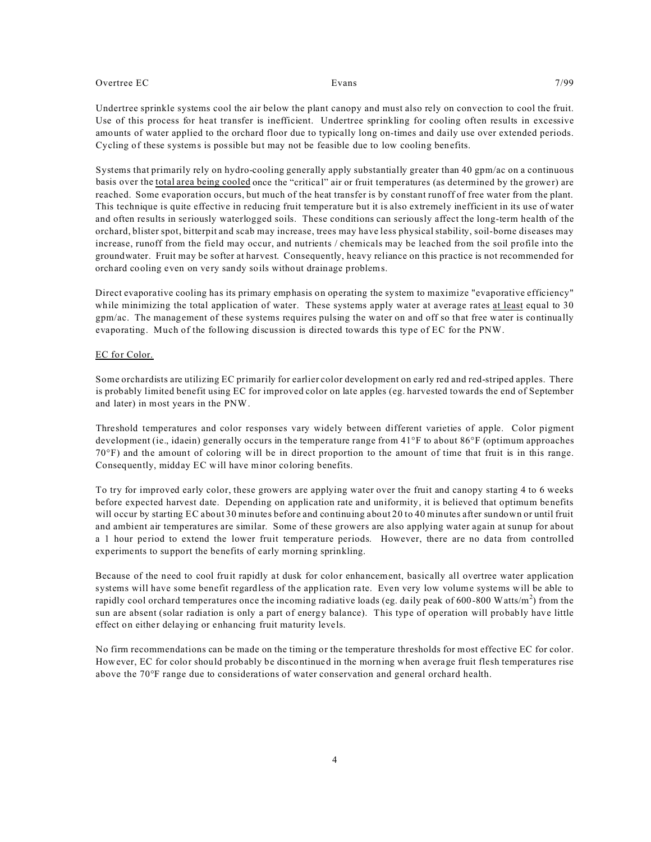Undertree sprinkle systems cool the air below the plant canopy and must also rely on convection to cool the fruit. Use of this process for heat transfer is inefficient. Undertree sprinkling for cooling often results in excessive amounts of water applied to the orchard floor due to typically long on-times and daily use over extended periods. Cycling of these systems is possible but may not be feasible due to low cooling benefits.

Systems that primarily rely on hydro-cooling generally apply substantially greater than 40 gpm/ac on a continuous basis over the total area being cooled once the "critical" air or fruit temperatures (as determined by the grower) are reached. Some evaporation occurs, but much of the heat transfer is by constant runoff of free water from the plant. This technique is quite effective in reducing fruit temperature but it is also extremely inefficient in its use of water and often results in seriously waterlogged soils. These conditions can seriously affect the long-term health of the orchard, blister spot, bitterpit and scab may increase, trees may have less physical stability, soil-borne diseases may increase, runoff from the field may occur, and nutrients / chemicals may be leached from the soil profile into the groundwater. Fruit may be softer at harvest. Consequently, heavy reliance on this practice is not recommended for orchard cooling even on very sandy soils without drainage problems.

Direct evaporative cooling has its primary emphasis on operating the system to maximize "evaporative efficiency" while minimizing the total application of water. These systems apply water at average rates at least equal to 30 gpm/ac. The management of these systems requires pulsing the water on and off so that free water is continually evaporating. Much of the following discussion is directed towards this type of EC for the PNW.

#### EC for Color.

Some orchardists are utilizing EC primarily for earlier color development on early red and red-striped apples. There is probably limited benefit using EC for improved color on late apples (eg. harvested towards the end of September and later) in most years in the PNW.

Threshold temperatures and color responses vary widely between different varieties of apple. Color pigment development (ie., idaein) generally occurs in the temperature range from 41°F to about 86°F (optimum approaches 70°F) and the amount of coloring will be in direct proportion to the amount of time that fruit is in this range. Consequently, midday EC will have minor coloring benefits.

To try for improved early color, these growers are applying water over the fruit and canopy starting 4 to 6 weeks before expected harvest date. Depending on application rate and uniformity, it is believed that optimum benefits will occur by starting EC about 30 minutes before and continuing about 20 to 40 minutes after sundown or until fruit and ambient air temperatures are similar. Some of these growers are also applying water again at sunup for about a 1 hour period to extend the lower fruit temperature periods. However, there are no data from controlled experiments to support the benefits of early morning sprinkling.

Because of the need to cool fruit rapidly at dusk for color enhancement, basically all overtree water application systems will have some benefit regardless of the application rate. Even very low volume systems will be able to rapidly cool orchard temperatures once the incoming radiative loads (eg. daily peak of 600-800 Watts/m<sup>2</sup>) from the sun are absent (solar radiation is only a part of energy balance). This type of operation will probably have little effect on either delaying or enhancing fruit maturity levels.

No firm recommendations can be made on the timing or the temperature thresholds for most effective EC for color. However, EC for color should probably be discontinued in the morning when average fruit flesh temperatures rise above the 70°F range due to considerations of water conservation and general orchard health.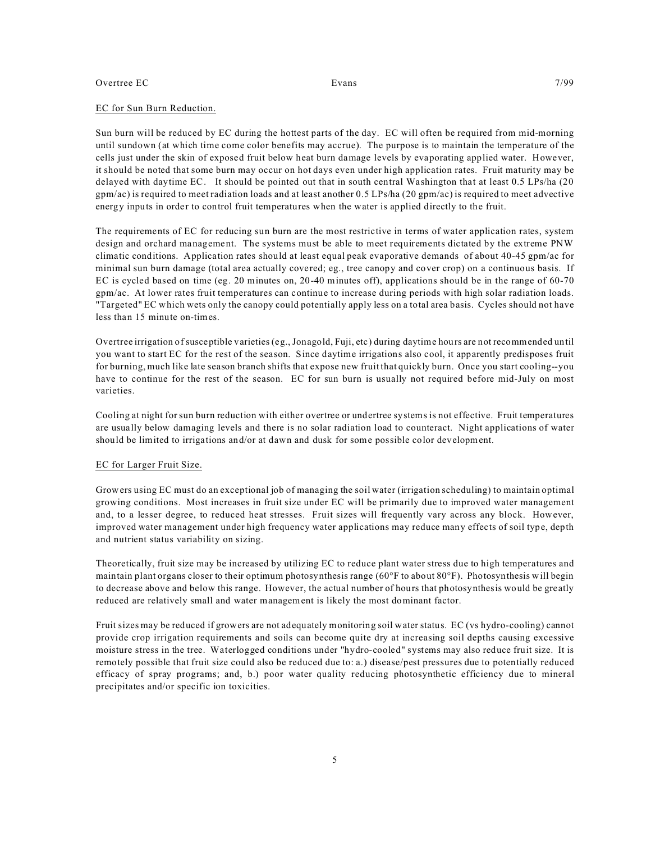#### EC for Sun Burn Reduction.

Sun burn will be reduced by EC during the hottest parts of the day. EC will often be required from mid-morning until sundown (at which time come color benefits may accrue). The purpose is to maintain the temperature of the cells just under the skin of exposed fruit below heat burn damage levels by evaporating applied water. However, it should be noted that some burn may occur on hot days even under high application rates. Fruit maturity may be delayed with daytime EC. It should be pointed out that in south central Washington that at least 0.5 LPs/ha (20  $gpm/ac$ ) is required to meet radiation loads and at least another 0.5 LPs/ha (20  $gpm/ac$ ) is required to meet advective energy inputs in order to control fruit temperatures when the water is applied directly to the fruit.

The requirements of EC for reducing sun burn are the most restrictive in terms of water application rates, system design and orchard management. The systems must be able to meet requirements dictated by the extreme PNW climatic conditions. Application rates should at least equal peak evaporative demands of about 40-45 gpm/ac for minimal sun burn damage (total area actually covered; eg., tree canopy and cover crop) on a continuous basis. If EC is cycled based on time (eg. 20 minutes on, 20-40 minutes off), applications should be in the range of 60-70 gpm/ac. At lower rates fruit temperatures can continue to increase during periods with high solar radiation loads. "Targeted" EC which wets only the canopy could potentially apply less on a total area basis. Cycles should not have less than 15 minute on-times.

Overtree irrigation of susceptible varieties (eg., Jonagold, Fuji, etc) during daytime hours are not recommended until you want to start EC for the rest of the season. Since daytime irrigations also cool, it apparently predisposes fruit for burning, much like late season branch shifts that expose new fruit that quickly burn. Once you start cooling--you have to continue for the rest of the season. EC for sun burn is usually not required before mid-July on most varieties.

Cooling at night for sun burn reduction with either overtree or undertree systems is not effective. Fruit temperatures are usually below damaging levels and there is no solar radiation load to counteract. Night applications of water should be limited to irrigations and/or at dawn and dusk for some possible color development.

#### EC for Larger Fruit Size.

Growers using EC must do an exceptional job of managing the soil water (irrigation scheduling) to maintain optimal growing conditions. Most increases in fruit size under EC will be primarily due to improved water management and, to a lesser degree, to reduced heat stresses. Fruit sizes will frequently vary across any block. However, improved water management under high frequency water applications may reduce many effects of soil type, depth and nutrient status variability on sizing.

Theoretically, fruit size may be increased by utilizing EC to reduce plant water stress due to high temperatures and maintain plant organs closer to their optimum photosynthesis range (60°F to about 80°F). Photosynthesis will begin to decrease above and below this range. However, the actual number of hours that photosynthesis would be greatly reduced are relatively small and water management is likely the most dominant factor.

Fruit sizes may be reduced if growers are not adequately monitoring soil water status. EC (vs hydro-cooling) cannot provide crop irrigation requirements and soils can become quite dry at increasing soil depths causing excessive moisture stress in the tree. Waterlogged conditions under "hydro-cooled" systems may also reduce fruit size. It is remotely possible that fruit size could also be reduced due to: a.) disease/pest pressures due to potentially reduced efficacy of spray programs; and, b.) poor water quality reducing photosynthetic efficiency due to mineral precipitates and/or specific ion toxicities.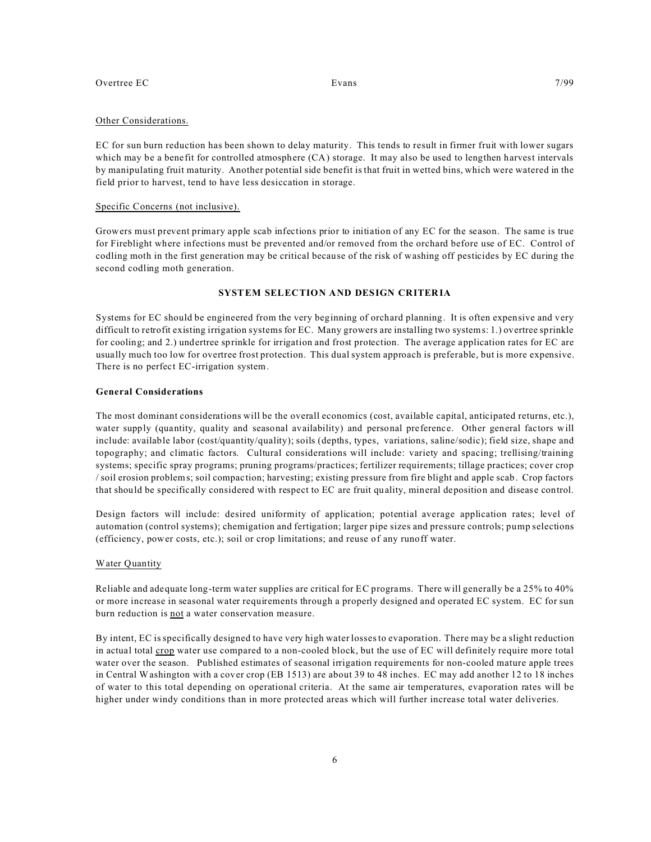#### Other Considerations.

EC for sun burn reduction has been shown to delay maturity. This tends to result in firmer fruit with lower sugars which may be a benefit for controlled atmosphere (CA) storage. It may also be used to lengthen harvest intervals by manipulating fruit maturity. Another potential side benefit is that fruit in wetted bins, which were watered in the field prior to harvest, tend to have less desiccation in storage.

#### Specific Concerns (not inclusive).

Growers must prevent primary apple scab infections prior to initiation of any EC for the season. The same is true for Fireblight where infections must be prevented and/or removed from the orchard before use of EC. Control of codling moth in the first generation may be critical because of the risk of washing off pesticides by EC during the second codling moth generation.

### **SYSTEM SELECTION AND DESIGN CRITERIA**

Systems for EC should be engineered from the very beginning of orchard planning. It is often expensive and very difficult to retrofit existing irrigation systems for EC. Many growers are installing two systems: 1.) overtree sprinkle for cooling; and 2.) undertree sprinkle for irrigation and frost protection. The average application rates for EC are usually much too low for overtree frost protection. This dual system approach is preferable, but is more expensive. There is no perfect EC-irrigation system.

### **General Considerations**

The most dominant considerations will be the overall economics (cost, available capital, anticipated returns, etc.), water supply (quantity, quality and seasonal availability) and personal preference. Other general factors will include: available labor (cost/quantity/quality); soils (depths, types, variations, saline/sodic); field size, shape and topography; and climatic factors. Cultural considerations will include: variety and spacing; trellising/training systems; specific spray programs; pruning programs/practices; fertilizer requirements; tillage practices; cover crop / soil erosion problems; soil compaction; harvesting; existing pressure from fire blight and apple scab. Crop factors that should be specifically considered with respect to EC are fruit quality, mineral deposition and disease control.

Design factors will include: desired uniformity of application; potential average application rates; level of automation (control systems); chemigation and fertigation; larger pipe sizes and pressure controls; pump selections (efficiency, power costs, etc.); soil or crop limitations; and reuse of any runoff water.

#### Water Quantity

Reliable and adequate long-term water supplies are critical for EC programs. There will generally be a 25% to 40% or more increase in seasonal water requirements through a properly designed and operated EC system. EC for sun burn reduction is not a water conservation measure.

By intent, EC is specifically designed to have very high water losses to evaporation. There may be a slight reduction in actual total crop water use compared to a non-cooled block, but the use of EC will definitely require more total water over the season. Published estimates of seasonal irrigation requirements for non-cooled mature apple trees in Central Washington with a cover crop (EB 1513) are about 39 to 48 inches. EC may add another 12 to 18 inches of water to this total depending on operational criteria. At the same air temperatures, evaporation rates will be higher under windy conditions than in more protected areas which will further increase total water deliveries.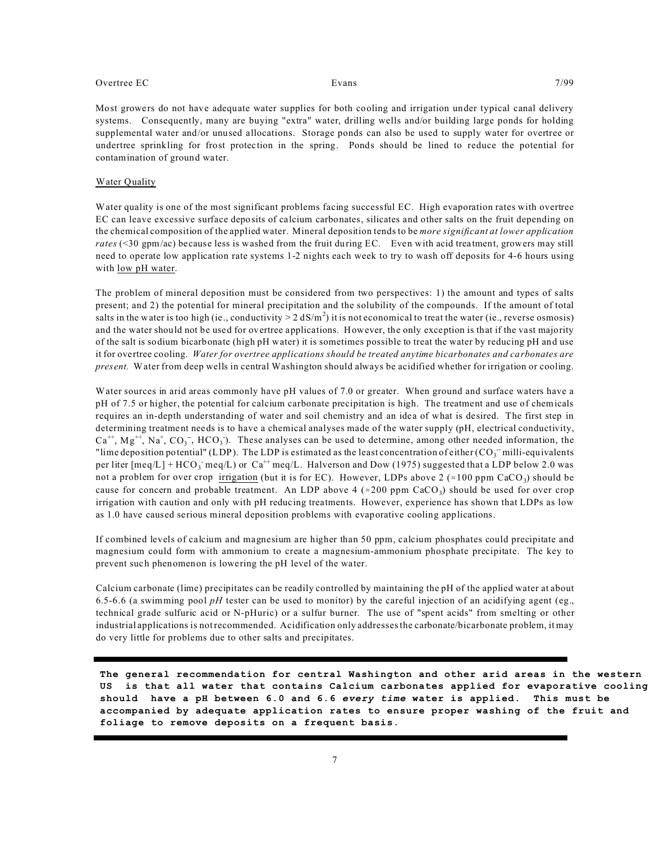Most growers do not have adequate water supplies for both cooling and irrigation under typical canal delivery systems. Consequently, many are buying "extra" water, drilling wells and/or building large ponds for holding supplemental water and/or unused allocations. Storage ponds can also be used to supply water for overtree or undertree sprinkling for frost protection in the spring. Ponds should be lined to reduce the potential for contamination of ground water.

#### Water Quality

Water quality is one of the most significant problems facing successful EC. High evaporation rates with overtree EC can leave excessive surface deposits of calcium carbonates, silicates and other salts on the fruit depending on the chemical composition of the applied water. Mineral deposition tends to be *more significant at lower application rates* (<30 gpm/ac) because less is washed from the fruit during EC. Even with acid treatment, growers may still need to operate low application rate systems 1-2 nights each week to try to wash off deposits for 4-6 hours using with <u>low</u> pH water.

The problem of mineral deposition must be considered from two perspectives: 1) the amount and types of salts present; and 2) the potential for mineral precipitation and the solubility of the compounds. If the amount of total salts in the water is too high (ie., conductivity  $> 2 \text{ dS/m}^2$ ) it is not economical to treat the water (ie., reverse osmosis) and the water should not be used for overtree applications. However, the only exception is that if the vast majority of the salt is sodium bicarbonate (high pH water) it is sometimes possible to treat the water by reducing pH and use it for overtree cooling. *Water for overtree applications should be treated anytime bicarbonates and carbonates are present.* Water from deep wells in central Washington should always be acidified whether for irrigation or cooling.

Water sources in arid areas commonly have pH values of 7.0 or greater. When ground and surface waters have a pH of 7.5 or higher, the potential for calcium carbonate precipitation is high. The treatment and use of chemicals requires an in-depth understanding of water and soil chemistry and an idea of what is desired. The first step in determining treatment needs is to have a chemical analyses made of the water supply (pH, electrical conductivity,  $Ca^{++}$ ,  $Mg^{++}$ ,  $Na^+$ ,  $CO_3^-$ ,  $HCO_3^-$ ). These analyses can be used to determine, among other needed information, the "lime deposition potential" (LDP). The LDP is estimated as the least concentration of either  $({\rm CO_3}^-$  milli-equivalents per liter [meq/L] + HCO<sub>3</sub> meq/L) or Ca<sup>++</sup> meq/L. Halverson and Dow (1975) suggested that a LDP below 2.0 was not a problem for over crop  $\frac{\text{irrigation}}{\text{l}}$  (but it is for EC). However, LDPs above 2 (~100 ppm CaCO<sub>3</sub>) should be cause for concern and probable treatment. An LDP above 4 ( $\approx$ 200 ppm CaCO<sub>3</sub>) should be used for over crop irrigation with caution and only with pH reducing treatments. However, experience has shown that LDPs as low as 1.0 have caused serious mineral deposition problems with evaporative cooling applications.

If combined levels of calcium and magnesium are higher than 50 ppm, calcium phosphates could precipitate and magnesium could form with ammonium to create a magnesium-ammonium phosphate precipitate. The key to prevent such phenomenon is lowering the pH level of the water.

Calcium carbonate (lime) precipitates can be readily controlled by maintaining the pH of the applied water at about 6.5-6.6 (a swimming pool *pH* tester can be used to monitor) by the careful injection of an acidifying agent (eg., technical grade sulfuric acid or N-pHuric) or a sulfur burner. The use of "spent acids" from smelting or other industrial applications is not recommended. Acidification only addresses the carbonate/bicarbonate problem, it may do very little for problems due to other salts and precipitates.

**The general recommendation for central Washington and other arid areas in the western US is that all water that contains Calcium carbonates applied for evaporative cooling should have a pH between 6.0 and 6.6** *every time* **water is applied. This must be accompanied by adequate application rates to ensure proper washing of the fruit and foliage to remove deposits on a frequent basis.**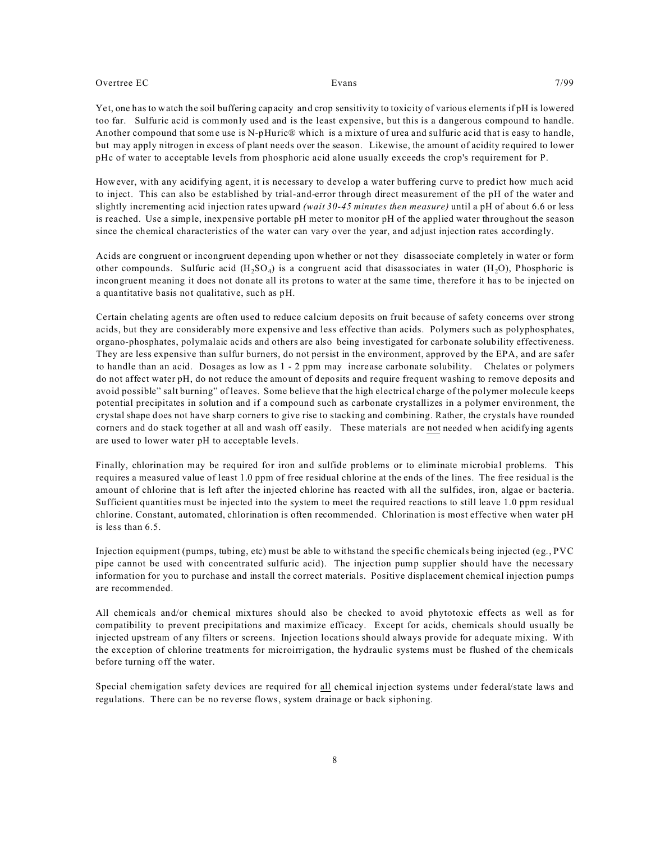Yet, one has to watch the soil buffering capacity and crop sensitivity to toxicity of various elements if pH is lowered too far. Sulfuric acid is commonly used and is the least expensive, but this is a dangerous compound to handle. Another compound that some use is N-pHuric® which is a mixture of urea and sulfuric acid that is easy to handle, but may apply nitrogen in excess of plant needs over the season. Likewise, the amount of acidity required to lower pHc of water to acceptable levels from phosphoric acid alone usually exceeds the crop's requirement for P.

However, with any acidifying agent, it is necessary to develop a water buffering curve to predict how much acid to inject. This can also be established by trial-and-error through direct measurement of the pH of the water and slightly incrementing acid injection rates upward *(wait 30-45 minutes then measure)* until a pH of about 6.6 or less is reached. Use a simple, inexpensive portable pH meter to monitor pH of the applied water throughout the season since the chemical characteristics of the water can vary over the year, and adjust injection rates accordingly.

Acids are congruent or incongruent depending upon whether or not they disassociate completely in water or form other compounds. Sulfuric acid  $(H_2SO_4)$  is a congruent acid that disassociates in water  $(H_2O)$ , Phosphoric is incongruent meaning it does not donate all its protons to water at the same time, therefore it has to be injected on a quantitative basis not qualitative, such as pH.

Certain chelating agents are often used to reduce calcium deposits on fruit because of safety concerns over strong acids, but they are considerably more expensive and less effective than acids. Polymers such as polyphosphates, organo-phosphates, polymalaic acids and others are also being investigated for carbonate solubility effectiveness. They are less expensive than sulfur burners, do not persist in the environment, approved by the EPA, and are safer to handle than an acid. Dosages as low as 1 - 2 ppm may increase carbonate solubility. Chelates or polymers do not affect water pH, do not reduce the amount of deposits and require frequent washing to remove deposits and avoid possible" salt burning" of leaves. Some believe that the high electrical charge of the polymer molecule keeps potential precipitates in solution and if a compound such as carbonate crystallizes in a polymer environment, the crystal shape does not have sharp corners to give rise to stacking and combining. Rather, the crystals have rounded corners and do stack together at all and wash off easily. These materials are not needed when acidifying agents are used to lower water pH to acceptable levels.

Finally, chlorination may be required for iron and sulfide problems or to eliminate microbial problems. This requires a measured value of least 1.0 ppm of free residual chlorine at the ends of the lines. The free residual is the amount of chlorine that is left after the injected chlorine has reacted with all the sulfides, iron, algae or bacteria. Sufficient quantities must be injected into the system to meet the required reactions to still leave 1.0 ppm residual chlorine. Constant, automated, chlorination is often recommended. Chlorination is most effective when water pH is less than 6.5.

Injection equipment (pumps, tubing, etc) must be able to withstand the specific chemicals being injected (eg., PVC pipe cannot be used with concentrated sulfuric acid). The injection pump supplier should have the necessary information for you to purchase and install the correct materials. Positive displacement chemical injection pumps are recommended.

All chemicals and/or chemical mixtures should also be checked to avoid phytotoxic effects as well as for compatibility to prevent precipitations and maximize efficacy. Except for acids, chemicals should usually be injected upstream of any filters or screens. Injection locations should always provide for adequate mixing. With the exception of chlorine treatments for microirrigation, the hydraulic systems must be flushed of the chemicals before turning off the water.

Special chemigation safety devices are required for all chemical injection systems under federal/state laws and regulations. There can be no reverse flows, system drainage or back siphoning.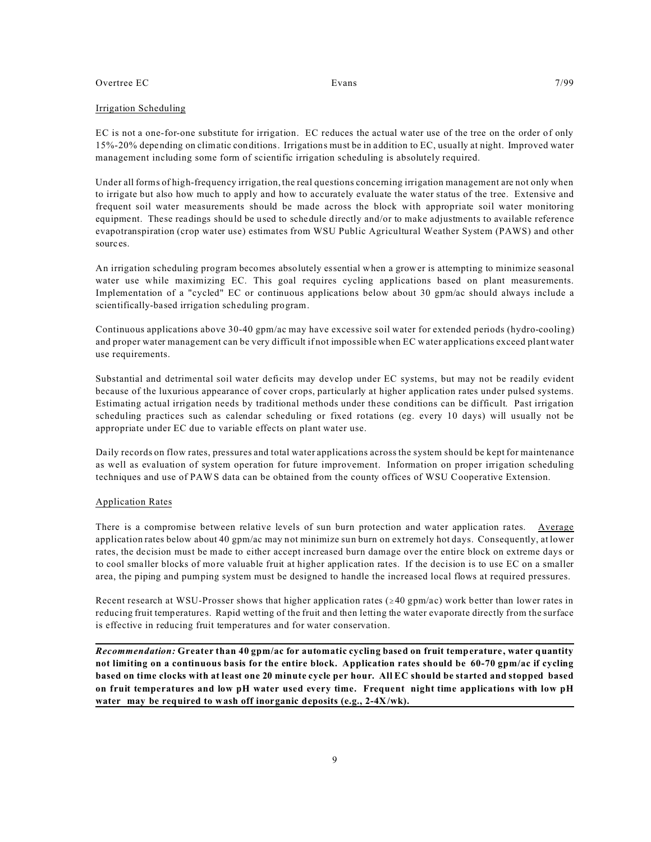#### Irrigation Scheduling

EC is not a one-for-one substitute for irrigation. EC reduces the actual water use of the tree on the order of only 15%-20% depending on climatic conditions. Irrigations must be in addition to EC, usually at night. Improved water management including some form of scientific irrigation scheduling is absolutely required.

Under all forms of high-frequency irrigation, the real questions concerning irrigation management are not only when to irrigate but also how much to apply and how to accurately evaluate the water status of the tree. Extensive and frequent soil water measurements should be made across the block with appropriate soil water monitoring equipment. These readings should be used to schedule directly and/or to make adjustments to available reference evapotranspiration (crop water use) estimates from WSU Public Agricultural Weather System (PAWS) and other sources.

An irrigation scheduling program becomes absolutely essential when a grower is attempting to minimize seasonal water use while maximizing EC. This goal requires cycling applications based on plant measurements. Implementation of a "cycled" EC or continuous applications below about 30 gpm/ac should always include a scientifically-based irrigation scheduling program.

Continuous applications above 30-40 gpm/ac may have excessive soil water for extended periods (hydro-cooling) and proper water management can be very difficult if not impossible when EC water applications exceed plant water use requirements.

Substantial and detrimental soil water deficits may develop under EC systems, but may not be readily evident because of the luxurious appearance of cover crops, particularly at higher application rates under pulsed systems. Estimating actual irrigation needs by traditional methods under these conditions can be difficult. Past irrigation scheduling practices such as calendar scheduling or fixed rotations (eg. every 10 days) will usually not be appropriate under EC due to variable effects on plant water use.

Daily records on flow rates, pressures and total water applications across the system should be kept for maintenance as well as evaluation of system operation for future improvement. Information on proper irrigation scheduling techniques and use of PAWS data can be obtained from the county offices of WSU Cooperative Extension.

#### Application Rates

There is a compromise between relative levels of sun burn protection and water application rates. Average application rates below about 40 gpm/ac may not minimize sun burn on extremely hot days. Consequently, at lower rates, the decision must be made to either accept increased burn damage over the entire block on extreme days or to cool smaller blocks of more valuable fruit at higher application rates. If the decision is to use EC on a smaller area, the piping and pumping system must be designed to handle the increased local flows at required pressures.

Recent research at WSU-Prosser shows that higher application rates ( $\geq 40$  gpm/ac) work better than lower rates in reducing fruit temperatures. Rapid wetting of the fruit and then letting the water evaporate directly from the surface is effective in reducing fruit temperatures and for water conservation.

*Recommendation:* **Greater than 40 gpm/ac for automatic cycling based on fruit temperature, water quantity not limiting on a continuous basis for the entire block. Application rates should be 60-70 gpm/ac if cycling based on time clocks with at least one 20 minute cycle per hour. All EC should be started and stopped based on fruit temperatures and low pH water used every time. Frequent night time applications with low pH water may be required to wash off inorganic deposits (e.g., 2-4X/wk).**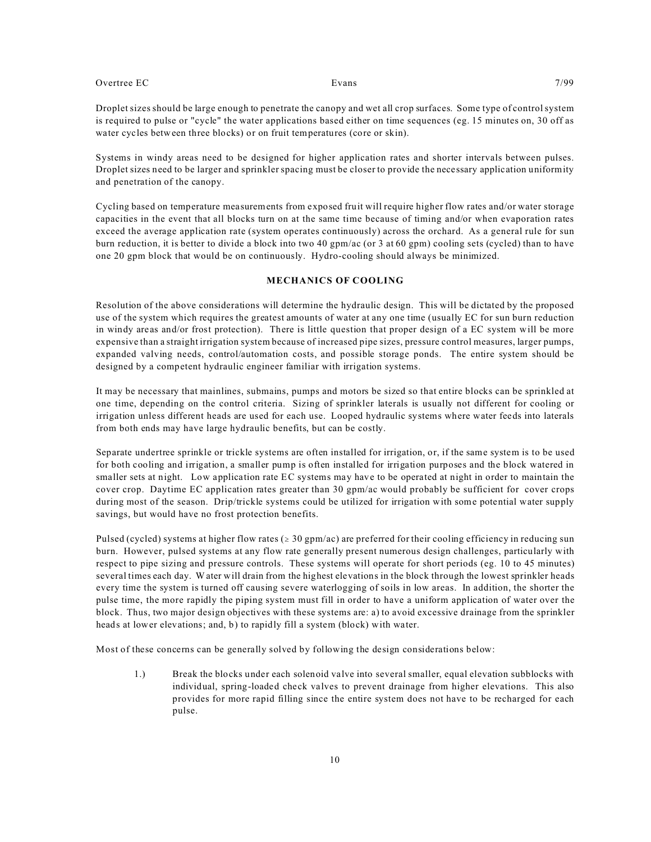Droplet sizes should be large enough to penetrate the canopy and wet all crop surfaces. Some type of control system is required to pulse or "cycle" the water applications based either on time sequences (eg. 15 minutes on, 30 off as water cycles between three blocks) or on fruit temperatures (core or skin).

Systems in windy areas need to be designed for higher application rates and shorter intervals between pulses. Droplet sizes need to be larger and sprinkler spacing must be closer to provide the necessary application uniformity and penetration of the canopy.

Cycling based on temperature measurements from exposed fruit will require higher flow rates and/or water storage capacities in the event that all blocks turn on at the same time because of timing and/or when evaporation rates exceed the average application rate (system operates continuously) across the orchard. As a general rule for sun burn reduction, it is better to divide a block into two 40 gpm/ac (or 3 at 60 gpm) cooling sets (cycled) than to have one 20 gpm block that would be on continuously. Hydro-cooling should always be minimized.

### **MECHANICS OF COOLING**

Resolution of the above considerations will determine the hydraulic design. This will be dictated by the proposed use of the system which requires the greatest amounts of water at any one time (usually EC for sun burn reduction in windy areas and/or frost protection). There is little question that proper design of a EC system will be more expensive than a straight irrigation system because of increased pipe sizes, pressure control measures, larger pumps, expanded valving needs, control/automation costs, and possible storage ponds. The entire system should be designed by a competent hydraulic engineer familiar with irrigation systems.

It may be necessary that mainlines, submains, pumps and motors be sized so that entire blocks can be sprinkled at one time, depending on the control criteria. Sizing of sprinkler laterals is usually not different for cooling or irrigation unless different heads are used for each use. Looped hydraulic systems where water feeds into laterals from both ends may have large hydraulic benefits, but can be costly.

Separate undertree sprinkle or trickle systems are often installed for irrigation, or, if the same system is to be used for both cooling and irrigation, a smaller pump is often installed for irrigation purposes and the block watered in smaller sets at night. Low application rate EC systems may have to be operated at night in order to maintain the cover crop. Daytime EC application rates greater than 30 gpm/ac would probably be sufficient for cover crops during most of the season. Drip/trickle systems could be utilized for irrigation with some potential water supply savings, but would have no frost protection benefits.

Pulsed (cycled) systems at higher flow rates ( $\geq 30$  gpm/ac) are preferred for their cooling efficiency in reducing sun burn. However, pulsed systems at any flow rate generally present numerous design challenges, particularly with respect to pipe sizing and pressure controls. These systems will operate for short periods (eg. 10 to 45 minutes) several times each day. Water will drain from the highest elevations in the block through the lowest sprinkler heads every time the system is turned off causing severe waterlogging of soils in low areas. In addition, the shorter the pulse time, the more rapidly the piping system must fill in order to have a uniform application of water over the block. Thus, two major design objectives with these systems are: a) to avoid excessive drainage from the sprinkler heads at lower elevations; and, b) to rapidly fill a system (block) with water.

Most of these concerns can be generally solved by following the design considerations below:

1.) Break the blocks under each solenoid valve into several smaller, equal elevation subblocks with individual, spring-loaded check valves to prevent drainage from higher elevations. This also provides for more rapid filling since the entire system does not have to be recharged for each pulse.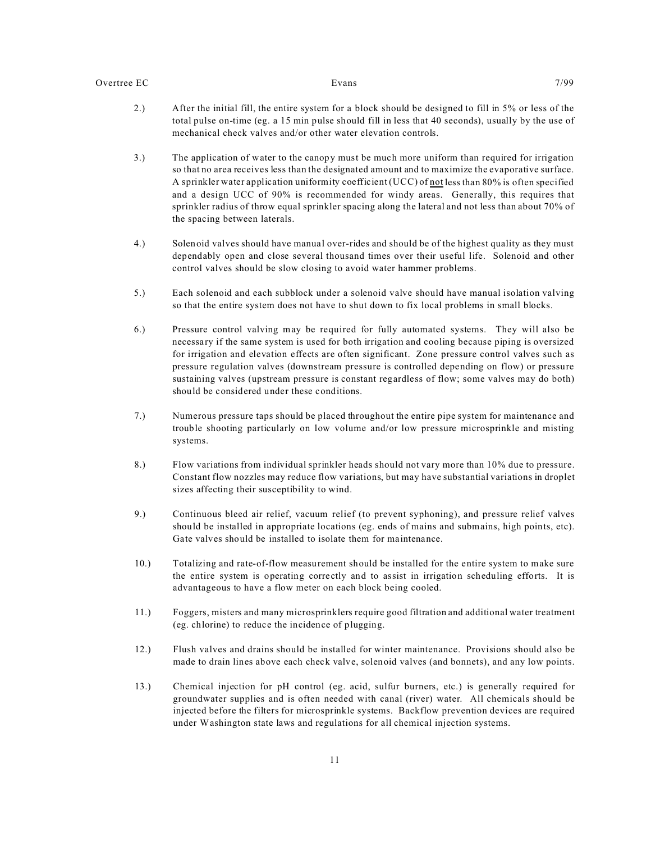- 2.) After the initial fill, the entire system for a block should be designed to fill in 5% or less of the total pulse on-time (eg. a 15 min pulse should fill in less that 40 seconds), usually by the use of mechanical check valves and/or other water elevation controls.
- 3.) The application of water to the canopy must be much more uniform than required for irrigation so that no area receives less than the designated amount and to maximize the evaporative surface. A sprinkler water application uniformity coefficient (UCC) of not less than 80% is often specified and a design UCC of 90% is recommended for windy areas. Generally, this requires that sprinkler radius of throw equal sprinkler spacing along the lateral and not less than about 70% of the spacing between laterals.
- 4.) Solenoid valves should have manual over-rides and should be of the highest quality as they must dependably open and close several thousand times over their useful life. Solenoid and other control valves should be slow closing to avoid water hammer problems.
- 5.) Each solenoid and each subblock under a solenoid valve should have manual isolation valving so that the entire system does not have to shut down to fix local problems in small blocks.
- 6.) Pressure control valving may be required for fully automated systems. They will also be necessary if the same system is used for both irrigation and cooling because piping is oversized for irrigation and elevation effects are often significant. Zone pressure control valves such as pressure regulation valves (downstream pressure is controlled depending on flow) or pressure sustaining valves (upstream pressure is constant regardless of flow; some valves may do both) should be considered under these conditions.
- 7.) Numerous pressure taps should be placed throughout the entire pipe system for maintenance and trouble shooting particularly on low volume and/or low pressure microsprinkle and misting systems.
- 8.) Flow variations from individual sprinkler heads should not vary more than 10% due to pressure. Constant flow nozzles may reduce flow variations, but may have substantial variations in droplet sizes affecting their susceptibility to wind.
- 9.) Continuous bleed air relief, vacuum relief (to prevent syphoning), and pressure relief valves should be installed in appropriate locations (eg. ends of mains and submains, high points, etc). Gate valves should be installed to isolate them for maintenance.
- 10.) Totalizing and rate-of-flow measurement should be installed for the entire system to make sure the entire system is operating correctly and to assist in irrigation scheduling efforts. It is advantageous to have a flow meter on each block being cooled.
- 11.) Foggers, misters and many microsprinklers require good filtration and additional water treatment (eg. chlorine) to reduce the incidence of plugging.
- 12.) Flush valves and drains should be installed for winter maintenance. Provisions should also be made to drain lines above each check valve, solenoid valves (and bonnets), and any low points.
- 13.) Chemical injection for pH control (eg. acid, sulfur burners, etc.) is generally required for groundwater supplies and is often needed with canal (river) water. All chemicals should be injected before the filters for microsprinkle systems. Backflow prevention devices are required under Washington state laws and regulations for all chemical injection systems.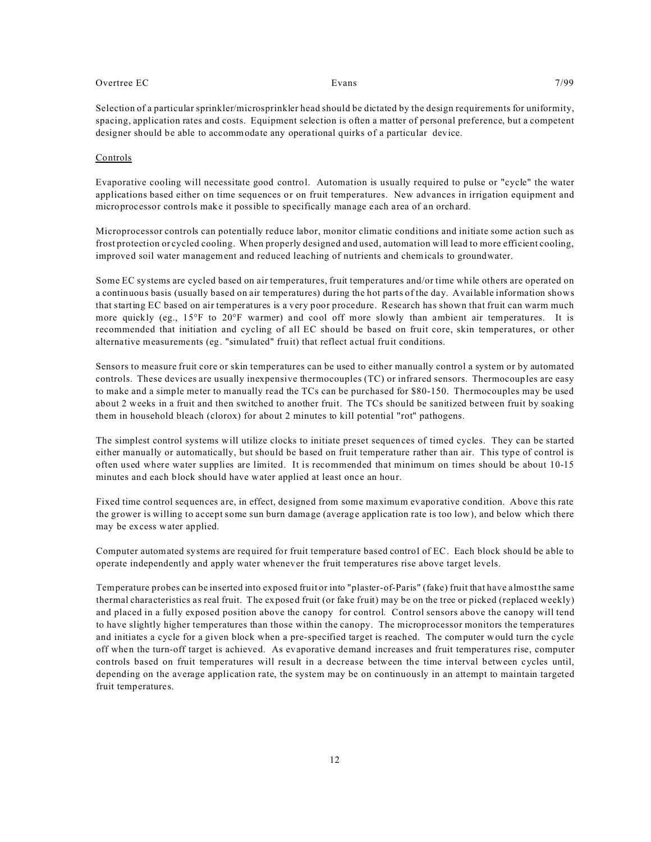Selection of a particular sprinkler/microsprinkler head should be dictated by the design requirements for uniformity, spacing, application rates and costs. Equipment selection is often a matter of personal preference, but a competent designer should be able to accommodate any operational quirks of a particular device.

#### Controls

Evaporative cooling will necessitate good control. Automation is usually required to pulse or "cycle" the water applications based either on time sequences or on fruit temperatures. New advances in irrigation equipment and microprocessor controls make it possible to specifically manage each area of an orchard.

Microprocessor controls can potentially reduce labor, monitor climatic conditions and initiate some action such as frost protection or cycled cooling. When properly designed and used, automation will lead to more efficient cooling, improved soil water management and reduced leaching of nutrients and chemicals to groundwater.

Some EC systems are cycled based on air temperatures, fruit temperatures and/or time while others are operated on a continuous basis (usually based on air temperatures) during the hot parts of the day. Available information shows that starting EC based on air temperatures is a very poor procedure. Research has shown that fruit can warm much more quickly (eg., 15°F to 20°F warmer) and cool off more slowly than ambient air temperatures. It is recommended that initiation and cycling of all EC should be based on fruit core, skin temperatures, or other alternative measurements (eg. "simulated" fruit) that reflect actual fruit conditions.

Sensors to measure fruit core or skin temperatures can be used to either manually control a system or by automated controls. These devices are usually inexpensive thermocouples (TC) or infrared sensors. Thermocouples are easy to make and a simple meter to manually read the TCs can be purchased for \$80-150. Thermocouples may be used about 2 weeks in a fruit and then switched to another fruit. The TCs should be sanitized between fruit by soaking them in household bleach (clorox) for about 2 minutes to kill potential "rot" pathogens.

The simplest control systems will utilize clocks to initiate preset sequences of timed cycles. They can be started either manually or automatically, but should be based on fruit temperature rather than air. This type of control is often used where water supplies are limited. It is recommended that minimum on times should be about 10-15 minutes and each block should have water applied at least once an hour.

Fixed time control sequences are, in effect, designed from some maximum evaporative condition. Above this rate the grower is willing to accept some sun burn damage (average application rate is too low), and below which there may be excess water applied.

Computer automated systems are required for fruit temperature based control of EC. Each block should be able to operate independently and apply water whenever the fruit temperatures rise above target levels.

Temperature probes can be inserted into exposed fruit or into "plaster-of-Paris" (fake) fruit that have almost the same thermal characteristics as real fruit. The exposed fruit (or fake fruit) may be on the tree or picked (replaced weekly) and placed in a fully exposed position above the canopy for control. Control sensors above the canopy will tend to have slightly higher temperatures than those within the canopy. The microprocessor monitors the temperatures and initiates a cycle for a given block when a pre-specified target is reached. The computer would turn the cycle off when the turn-off target is achieved. As evaporative demand increases and fruit temperatures rise, computer controls based on fruit temperatures will result in a decrease between the time interval between cycles until, depending on the average application rate, the system may be on continuously in an attempt to maintain targeted fruit temperatures.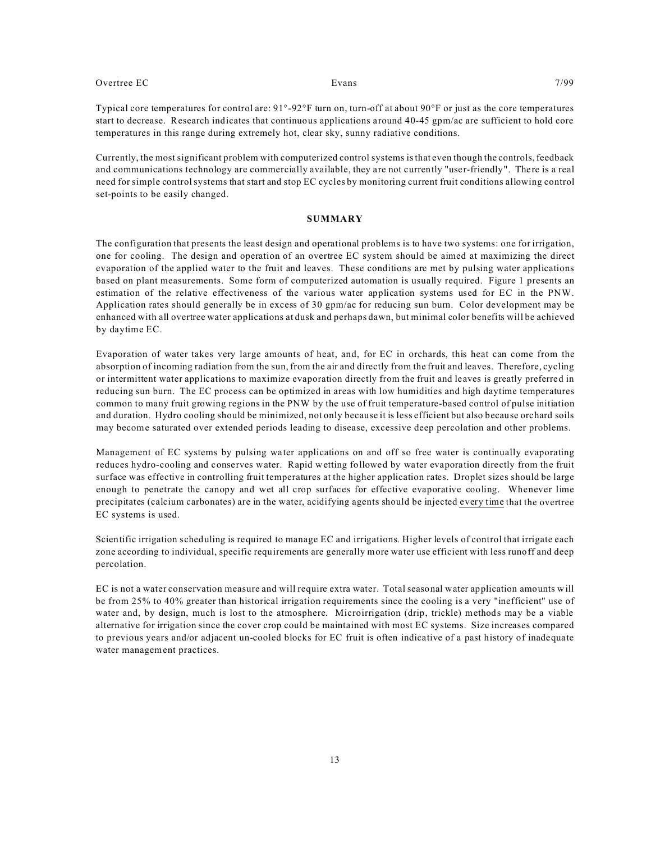Currently, the most significant problem with computerized control systems is that even though the controls,feedback and communications technology are commercially available, they are not currently "user-friendly". There is a real need for simple control systems that start and stop EC cycles by monitoring current fruit conditions allowing control set-points to be easily changed.

#### **SUMMARY**

The configuration that presents the least design and operational problems is to have two systems: one for irrigation, one for cooling. The design and operation of an overtree EC system should be aimed at maximizing the direct evaporation of the applied water to the fruit and leaves. These conditions are met by pulsing water applications based on plant measurements. Some form of computerized automation is usually required. Figure 1 presents an estimation of the relative effectiveness of the various water application systems used for EC in the PNW. Application rates should generally be in excess of 30 gpm/ac for reducing sun burn. Color development may be enhanced with all overtree water applications at dusk and perhaps dawn, but minimal color benefits will be achieved by daytime EC.

Evaporation of water takes very large amounts of heat, and, for EC in orchards, this heat can come from the absorption of incoming radiation from the sun, from the air and directly from the fruit and leaves. Therefore, cycling or intermittent water applications to maximize evaporation directly from the fruit and leaves is greatly preferred in reducing sun burn. The EC process can be optimized in areas with low humidities and high daytime temperatures common to many fruit growing regions in the PNW by the use of fruit temperature-based control of pulse initiation and duration. Hydro cooling should be minimized, not only because it is less efficient but also because orchard soils may become saturated over extended periods leading to disease, excessive deep percolation and other problems.

Management of EC systems by pulsing water applications on and off so free water is continually evaporating reduces hydro-cooling and conserves water. Rapid wetting followed by water evaporation directly from the fruit surface was effective in controlling fruit temperatures at the higher application rates. Droplet sizes should be large enough to penetrate the canopy and wet all crop surfaces for effective evaporative cooling. Whenever lime precipitates (calcium carbonates) are in the water, acidifying agents should be injected every time that the overtree EC systems is used.

Scientific irrigation scheduling is required to manage EC and irrigations. Higher levels of control that irrigate each zone according to individual, specific requirements are generally more water use efficient with less runoff and deep percolation.

EC is not a water conservation measure and will require extra water. Total seasonal water application amounts will be from 25% to 40% greater than historical irrigation requirements since the cooling is a very "inefficient" use of water and, by design, much is lost to the atmosphere. Microirrigation (drip, trickle) methods may be a viable alternative for irrigation since the cover crop could be maintained with most EC systems. Size increases compared to previous years and/or adjacent un-cooled blocks for EC fruit is often indicative of a past history of inadequate water management practices.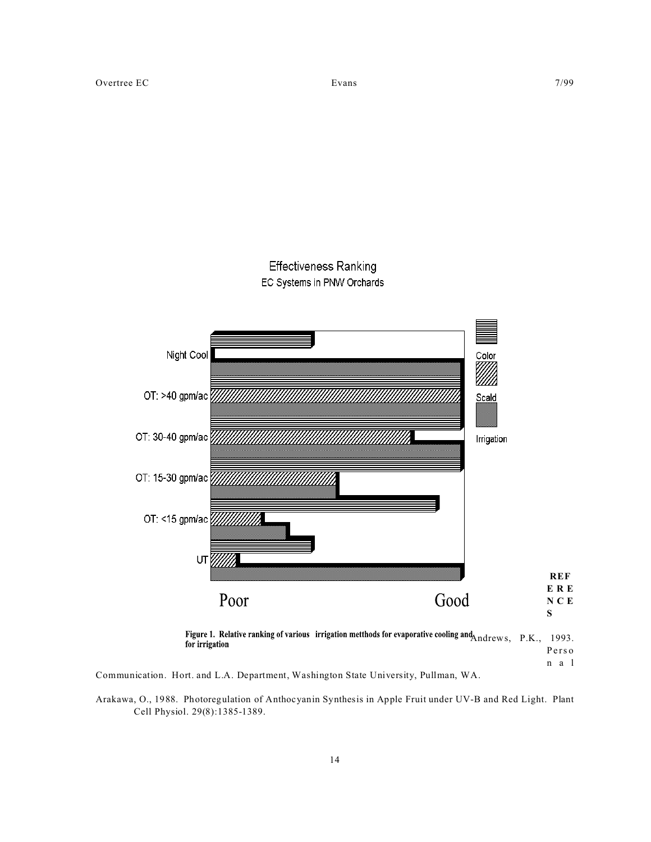# **Effectiveness Ranking**





Figure 1. Relative ranking of various irrigation metthods for evaporative cooling and Andrews, P.K., 1993. for irrigation Pers o n a l

Communication. Hort. and L.A. Department, Washington State University, Pullman, WA.

Arakawa, O., 1988. Photoregulation of Anthocyanin Synthesis in Apple Fruit under UV-B and Red Light. Plant Cell Physiol. 29(8):1385-1389.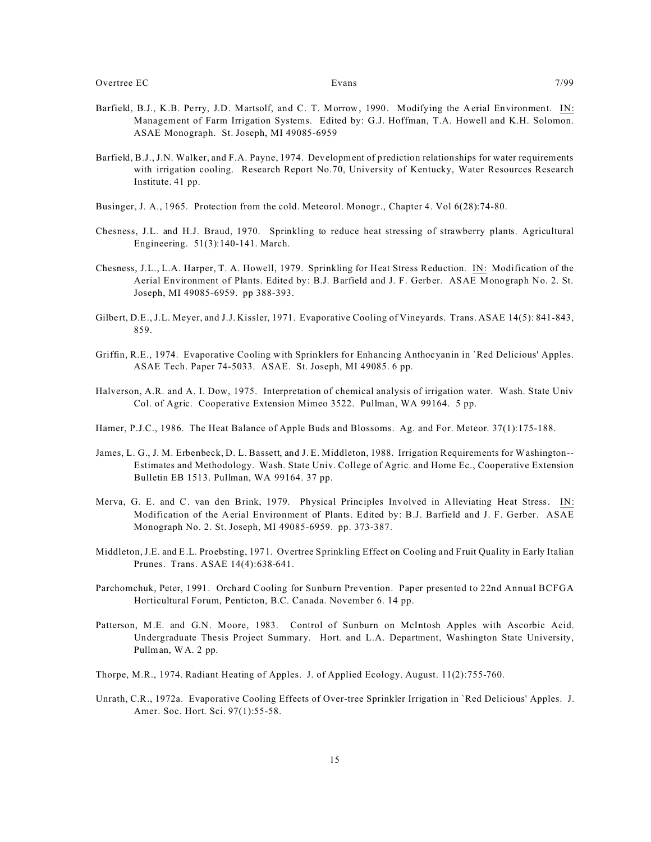- Barfield, B.J., K.B. Perry, J.D. Martsolf, and C. T. Morrow, 1990. Modifying the Aerial Environment. IN: Management of Farm Irrigation Systems. Edited by: G.J. Hoffman, T.A. Howell and K.H. Solomon. ASAE Monograph. St. Joseph, MI 49085-6959
- Barfield, B.J., J.N. Walker, and F.A. Payne, 1974. Development of prediction relationships for water requirements with irrigation cooling. Research Report No.70, University of Kentucky, Water Resources Research Institute. 41 pp.
- Businger, J. A., 1965. Protection from the cold. Meteorol. Monogr., Chapter 4. Vol 6(28):74-80.
- Chesness, J.L. and H.J. Braud, 1970. Sprinkling to reduce heat stressing of strawberry plants. Agricultural Engineering. 51(3):140-141. March.
- Chesness, J.L., L.A. Harper, T. A. Howell, 1979. Sprinkling for Heat Stress Reduction. IN: Modification of the Aerial Environment of Plants. Edited by: B.J. Barfield and J. F. Gerber. ASAE Monograph No. 2. St. Joseph, MI 49085-6959. pp 388-393.
- Gilbert, D.E., J.L. Meyer, and J.J. Kissler, 1971. Evaporative Cooling of Vineyards. Trans. ASAE 14(5): 841-843, 859.
- Griffin, R.E., 1974. Evaporative Cooling with Sprinklers for Enhancing Anthocyanin in `Red Delicious' Apples. ASAE Tech. Paper 74-5033. ASAE. St. Joseph, MI 49085. 6 pp.
- Halverson, A.R. and A. I. Dow, 1975. Interpretation of chemical analysis of irrigation water. Wash. State Univ Col. of Agric. Cooperative Extension Mimeo 3522. Pullman, WA 99164. 5 pp.
- Hamer, P.J.C., 1986. The Heat Balance of Apple Buds and Blossoms. Ag. and For. Meteor. 37(1):175-188.
- James, L. G., J. M. Erbenbeck, D. L. Bassett, and J. E. Middleton, 1988. Irrigation Requirements for Washington-- Estimates and Methodology. Wash. State Univ. College of Agric. and Home Ec., Cooperative Extension Bulletin EB 1513. Pullman, WA 99164. 37 pp.
- Merva, G. E. and C. van den Brink, 1979. Physical Principles Involved in Alleviating Heat Stress. IN: Modification of the Aerial Environment of Plants. Edited by: B.J. Barfield and J. F. Gerber. ASAE Monograph No. 2. St. Joseph, MI 49085-6959. pp. 373-387.
- Middleton, J.E. and E.L. Proebsting, 1971. Overtree Sprinkling Effect on Cooling and Fruit Quality in Early Italian Prunes. Trans. ASAE 14(4):638-641.
- Parchomchuk, Peter, 1991. Orchard Cooling for Sunburn Prevention. Paper presented to 22nd Annual BCFGA Horticultural Forum, Penticton, B.C. Canada. November 6. 14 pp.
- Patterson, M.E. and G.N. Moore, 1983. Control of Sunburn on McIntosh Apples with Ascorbic Acid. Undergraduate Thesis Project Summary. Hort. and L.A. Department, Washington State University, Pullman, WA. 2 pp.
- Thorpe, M.R., 1974. Radiant Heating of Apples. J. of Applied Ecology. August. 11(2):755-760.
- Unrath, C.R., 1972a. Evaporative Cooling Effects of Over-tree Sprinkler Irrigation in `Red Delicious' Apples. J. Amer. Soc. Hort. Sci. 97(1):55-58.